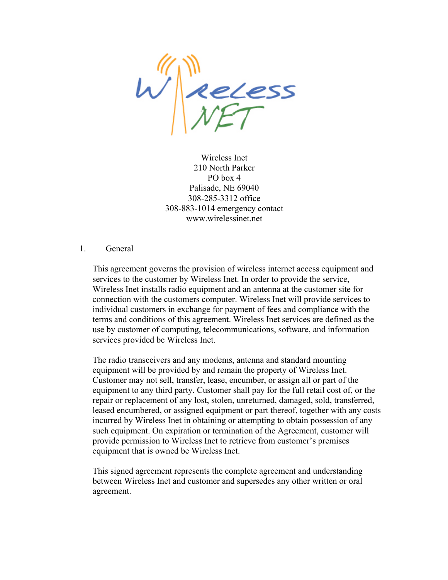$w^{\text{min}}_{\text{WFT}}$ 

Wireless Inet 210 North Parker PO box 4 Palisade, NE 69040 308-285-3312 office 308-883-1014 emergency contact www.wirelessinet.net

#### 1. General

This agreement governs the provision of wireless internet access equipment and services to the customer by Wireless Inet. In order to provide the service, Wireless Inet installs radio equipment and an antenna at the customer site for connection with the customers computer. Wireless Inet will provide services to individual customers in exchange for payment of fees and compliance with the terms and conditions of this agreement. Wireless Inet services are defined as the use by customer of computing, telecommunications, software, and information services provided be Wireless Inet.

The radio transceivers and any modems, antenna and standard mounting equipment will be provided by and remain the property of Wireless Inet. Customer may not sell, transfer, lease, encumber, or assign all or part of the equipment to any third party. Customer shall pay for the full retail cost of, or the repair or replacement of any lost, stolen, unreturned, damaged, sold, transferred, leased encumbered, or assigned equipment or part thereof, together with any costs incurred by Wireless Inet in obtaining or attempting to obtain possession of any such equipment. On expiration or termination of the Agreement, customer will provide permission to Wireless Inet to retrieve from customer's premises equipment that is owned be Wireless Inet.

This signed agreement represents the complete agreement and understanding between Wireless Inet and customer and supersedes any other written or oral agreement.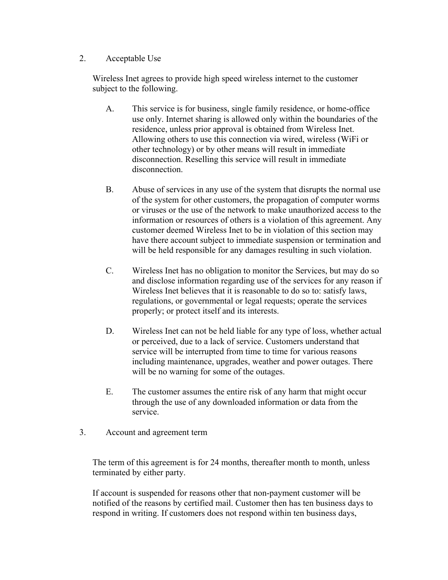## 2. Acceptable Use

Wireless Inet agrees to provide high speed wireless internet to the customer subject to the following.

- A. This service is for business, single family residence, or home-office use only. Internet sharing is allowed only within the boundaries of the residence, unless prior approval is obtained from Wireless Inet. Allowing others to use this connection via wired, wireless (WiFi or other technology) or by other means will result in immediate disconnection. Reselling this service will result in immediate disconnection.
- B. Abuse of services in any use of the system that disrupts the normal use of the system for other customers, the propagation of computer worms or viruses or the use of the network to make unauthorized access to the information or resources of others is a violation of this agreement. Any customer deemed Wireless Inet to be in violation of this section may have there account subject to immediate suspension or termination and will be held responsible for any damages resulting in such violation.
- C. Wireless Inet has no obligation to monitor the Services, but may do so and disclose information regarding use of the services for any reason if Wireless Inet believes that it is reasonable to do so to: satisfy laws, regulations, or governmental or legal requests; operate the services properly; or protect itself and its interests.
- D. Wireless Inet can not be held liable for any type of loss, whether actual or perceived, due to a lack of service. Customers understand that service will be interrupted from time to time for various reasons including maintenance, upgrades, weather and power outages. There will be no warning for some of the outages.
- E. The customer assumes the entire risk of any harm that might occur through the use of any downloaded information or data from the service.
- 3. Account and agreement term

The term of this agreement is for 24 months, thereafter month to month, unless terminated by either party.

If account is suspended for reasons other that non-payment customer will be notified of the reasons by certified mail. Customer then has ten business days to respond in writing. If customers does not respond within ten business days,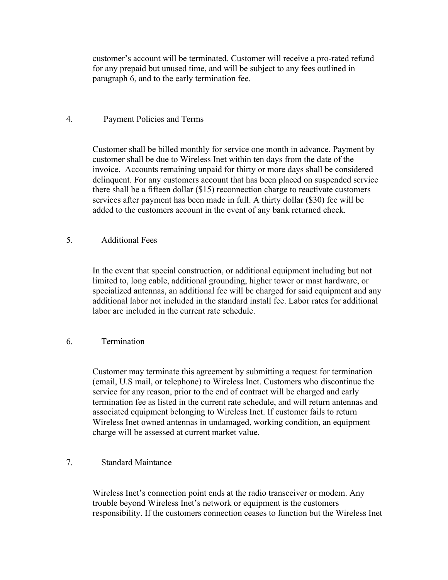customer's account will be terminated. Customer will receive a pro-rated refund for any prepaid but unused time, and will be subject to any fees outlined in paragraph 6, and to the early termination fee.

## 4. Payment Policies and Terms

Customer shall be billed monthly for service one month in advance. Payment by customer shall be due to Wireless Inet within ten days from the date of the invoice. Accounts remaining unpaid for thirty or more days shall be considered delinquent. For any customers account that has been placed on suspended service there shall be a fifteen dollar (\$15) reconnection charge to reactivate customers services after payment has been made in full. A thirty dollar (\$30) fee will be added to the customers account in the event of any bank returned check.

## 5. Additional Fees

In the event that special construction, or additional equipment including but not limited to, long cable, additional grounding, higher tower or mast hardware, or specialized antennas, an additional fee will be charged for said equipment and any additional labor not included in the standard install fee. Labor rates for additional labor are included in the current rate schedule.

## 6. Termination

Customer may terminate this agreement by submitting a request for termination (email, U.S mail, or telephone) to Wireless Inet. Customers who discontinue the service for any reason, prior to the end of contract will be charged and early termination fee as listed in the current rate schedule, and will return antennas and associated equipment belonging to Wireless Inet. If customer fails to return Wireless Inet owned antennas in undamaged, working condition, an equipment charge will be assessed at current market value.

## 7. Standard Maintance

Wireless Inet's connection point ends at the radio transceiver or modem. Any trouble beyond Wireless Inet's network or equipment is the customers responsibility. If the customers connection ceases to function but the Wireless Inet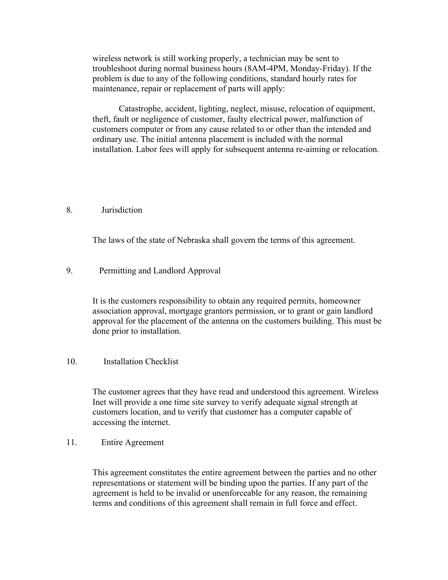wireless network is still working properly, a technician may be sent to troubleshoot during normal business hours (8AM-4PM, Monday-Friday). If the problem is due to any of the following conditions, standard hourly rates for maintenance, repair or replacement of parts will apply:

Catastrophe, accident, lighting, neglect, misuse, relocation of equipment, theft, fault or negligence of customer, faulty electrical power, malfunction of customers computer or from any cause related to or other than the intended and ordinary use. The initial antenna placement is included with the normal installation. Labor fees will apply for subsequent antenna re-aiming or relocation.

#### 8. Jurisdiction

The laws of the state of Nebraska shall govern the terms of this agreement.

## 9. Permitting and Landlord Approval

It is the customers responsibility to obtain any required permits, homeowner association approval, mortgage grantors permission, or to grant or gain landlord approval for the placement of the antenna on the customers building. This must be done prior to installation.

#### 10. Installation Checklist

The customer agrees that they have read and understood this agreement. Wireless Inet will provide a one time site survey to verify adequate signal strength at customers location, and to verify that customer has a computer capable of accessing the internet.

11. Entire Agreement

This agreement constitutes the entire agreement between the parties and no other representations or statement will be binding upon the parties. If any part of the agreement is held to be invalid or unenforceable for any reason, the remaining terms and conditions of this agreement shall remain in full force and effect.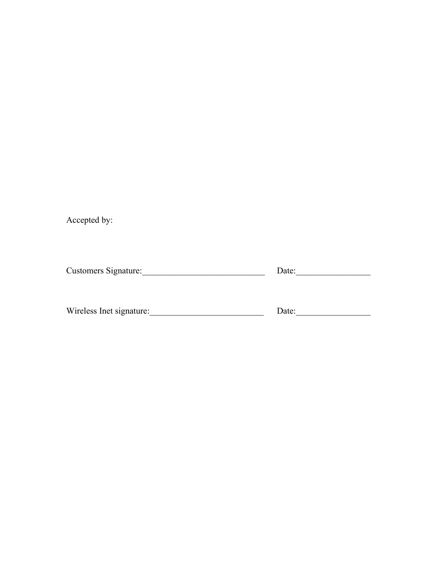Accepted by:

Customers Signature:\_\_\_\_\_\_\_\_\_\_\_\_\_\_\_\_\_\_\_\_\_\_\_\_\_\_\_\_ Date:\_\_\_\_\_\_\_\_\_\_\_\_\_\_\_\_\_

Wireless Inet signature:\_\_\_\_\_\_\_\_\_\_\_\_\_\_\_\_\_\_\_\_\_\_\_\_\_\_ Date:\_\_\_\_\_\_\_\_\_\_\_\_\_\_\_\_\_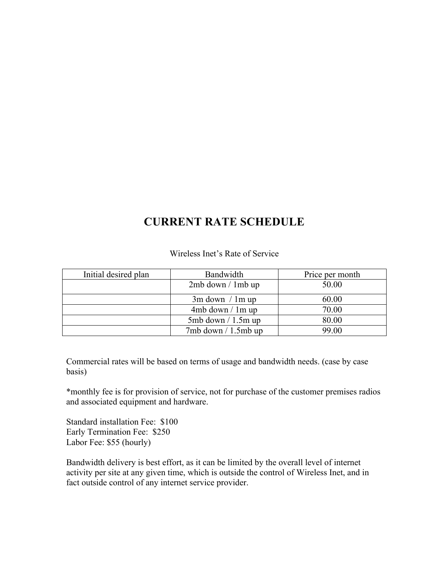## **CURRENT RATE SCHEDULE**

Wireless Inet's Rate of Service

| Initial desired plan | Bandwidth              | Price per month |
|----------------------|------------------------|-----------------|
|                      | $2mb$ down $/1mb$ up   | 50.00           |
|                      | $3m$ down $/1m$ up     | 60.00           |
|                      | 4mb down / 1m up       | 70.00           |
|                      | $5mb$ down $/1.5m$ up  | 80.00           |
|                      | $7mb$ down $/1.5mb$ up | 99.00           |

Commercial rates will be based on terms of usage and bandwidth needs. (case by case basis)

\*monthly fee is for provision of service, not for purchase of the customer premises radios and associated equipment and hardware.

Standard installation Fee: \$100 Early Termination Fee: \$250 Labor Fee: \$55 (hourly)

Bandwidth delivery is best effort, as it can be limited by the overall level of internet activity per site at any given time, which is outside the control of Wireless Inet, and in fact outside control of any internet service provider.